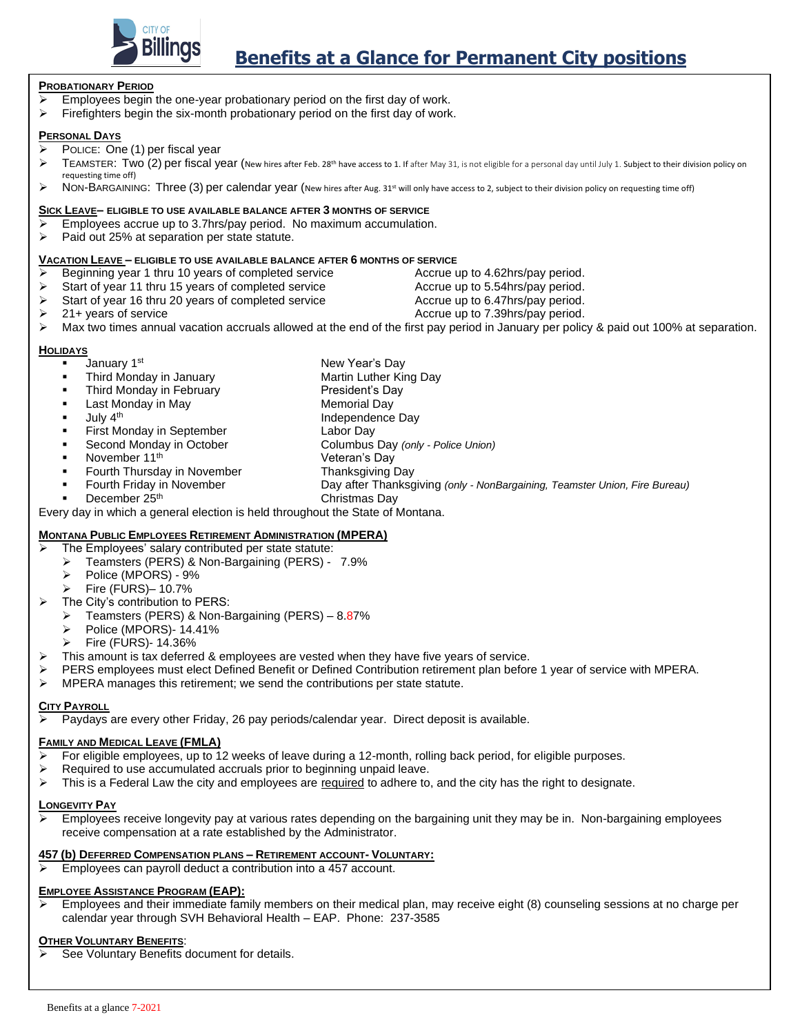

# **Benefits at a Glance for Permanent City positions**

#### **PROBATIONARY PERIOD**

- $\triangleright$  Employees begin the one-year probationary period on the first day of work.
- $\triangleright$  Firefighters begin the six-month probationary period on the first day of work.

### **PERSONAL DAYS**

- $\overline{\triangleright}$  POLICE: One (1) per fiscal year
- ▶ TEAMSTER: Two (2) per fiscal year (New hires after Feb. 28<sup>th</sup> have access to 1. If after May 31, is not eligible for a personal day until July 1. Subject to their division policy on requesting time off)
- ▶ NON-BARGAINING: Three (3) per calendar year (new hires after Aug. 31<sup>st</sup> will only have access to 2, subject to their division policy on requesting time off)

### **SICK LEAVE– ELIGIBLE TO USE AVAILABLE BALANCE AFTER 3 MONTHS OF SERVICE**

- ➢ Employees accrue up to 3.7hrs/pay period. No maximum accumulation.
- ➢ Paid out 25% at separation per state statute.

#### **VACATION LEAVE – ELIGIBLE TO USE AVAILABLE BALANCE AFTER 6 MONTHS OF SERVICE**

- ➢ Beginning year 1 thru 10 years of completed service Accrue up to 4.62hrs/pay period.
- ➢ Start of year 11 thru 15 years of completed service Accrue up to 5.54hrs/pay period.
- ➢ Start of year 16 thru 20 years of completed service Accrue up to 6.47hrs/pay period.
- ➢ 21+ years of service Accrue up to 7.39hrs/pay period.
- $\triangleright$  Max two times annual vacation accruals allowed at the end of the first pay period in January per policy & paid out 100% at separation.

## **HOLIDAYS**

- January 1<sup>st</sup> New Year's Day
- Third Monday in January Martin Luther King Day
- Third Monday in February **President's Day**
- Last Monday in May **Manual Last Monday** in May
- **July 4<sup>th</sup>** Independence Day
- **First Monday in September Labor Day**
- Second Monday in October Columbus Day *(only - Police Union)*
- November 11<sup>th</sup> Veteran's Day
	-
- Fourth Thursday in November Thanksgiving Day
- Fourth Friday in November Day after Thanksgiving *(only - NonBargaining, Teamster Union, Fire Bureau)*
- December 25<sup>th</sup> Christmas Day

Every day in which a general election is held throughout the State of Montana.

# **MONTANA PUBLIC EMPLOYEES RETIREMENT ADMINISTRATION (MPERA)**

- The Employees' salary contributed per state statute:
- ➢ Teamsters (PERS) & Non-Bargaining (PERS) 7.9%
- ➢ Police (MPORS) 9%
- ➢ Fire (FURS)– 10.7%
- ➢ The City's contribution to PERS:
	- ➢ Teamsters (PERS) & Non-Bargaining (PERS) 8.87%
	- ➢ Police (MPORS)- 14.41%
	- ➢ Fire (FURS)- 14.36%
- $\triangleright$  This amount is tax deferred & employees are vested when they have five years of service.
- ➢ PERS employees must elect Defined Benefit or Defined Contribution retirement plan before 1 year of service with MPERA.
- $\triangleright$  MPERA manages this retirement; we send the contributions per state statute.

### **CITY PAYROLL**

➢ Paydays are every other Friday, 26 pay periods/calendar year. Direct deposit is available.

# **FAMILY AND MEDICAL LEAVE (FMLA)**

- $\triangleright$  For eligible employees, up to 12 weeks of leave during a 12-month, rolling back period, for eligible purposes.
- ➢ Required to use accumulated accruals prior to beginning unpaid leave.
- $\triangleright$  This is a Federal Law the city and employees are required to adhere to, and the city has the right to designate.

# **LONGEVITY PAY**

➢ Employees receive longevity pay at various rates depending on the bargaining unit they may be in. Non-bargaining employees receive compensation at a rate established by the Administrator.

# **457 (b) DEFERRED COMPENSATION PLANS – RETIREMENT ACCOUNT- VOLUNTARY:**

➢ Employees can payroll deduct a contribution into a 457 account.

# **EMPLOYEE ASSISTANCE PROGRAM (EAP):**

➢ Employees and their immediate family members on their medical plan, may receive eight (8) counseling sessions at no charge per calendar year through SVH Behavioral Health – EAP. Phone: 237-3585

# **OTHER VOLUNTARY BENEFITS**:

➢ See Voluntary Benefits document for details.